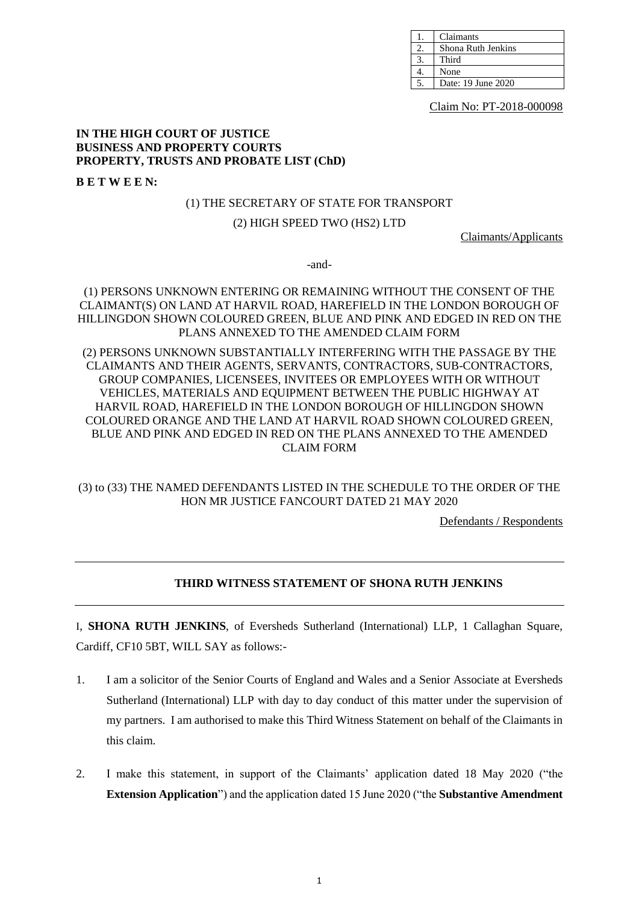| Claimants          |
|--------------------|
| Shona Ruth Jenkins |
| Third              |
| None               |
| Date: 19 June 2020 |

Claim No: PT-2018-000098

#### **IN THE HIGH COURT OF JUSTICE BUSINESS AND PROPERTY COURTS PROPERTY, TRUSTS AND PROBATE LIST (ChD)**

**B E T W E E N:**

#### (1) THE SECRETARY OF STATE FOR TRANSPORT

## (2) HIGH SPEED TWO (HS2) LTD

Claimants/Applicants

-and-

# (1) PERSONS UNKNOWN ENTERING OR REMAINING WITHOUT THE CONSENT OF THE CLAIMANT(S) ON LAND AT HARVIL ROAD, HAREFIELD IN THE LONDON BOROUGH OF HILLINGDON SHOWN COLOURED GREEN, BLUE AND PINK AND EDGED IN RED ON THE PLANS ANNEXED TO THE AMENDED CLAIM FORM

# (2) PERSONS UNKNOWN SUBSTANTIALLY INTERFERING WITH THE PASSAGE BY THE CLAIMANTS AND THEIR AGENTS, SERVANTS, CONTRACTORS, SUB-CONTRACTORS, GROUP COMPANIES, LICENSEES, INVITEES OR EMPLOYEES WITH OR WITHOUT VEHICLES, MATERIALS AND EQUIPMENT BETWEEN THE PUBLIC HIGHWAY AT HARVIL ROAD, HAREFIELD IN THE LONDON BOROUGH OF HILLINGDON SHOWN COLOURED ORANGE AND THE LAND AT HARVIL ROAD SHOWN COLOURED GREEN, BLUE AND PINK AND EDGED IN RED ON THE PLANS ANNEXED TO THE AMENDED CLAIM FORM

# (3) to (33) THE NAMED DEFENDANTS LISTED IN THE SCHEDULE TO THE ORDER OF THE HON MR JUSTICE FANCOURT DATED 21 MAY 2020

Defendants / Respondents

# **THIRD WITNESS STATEMENT OF SHONA RUTH JENKINS**

I, **SHONA RUTH JENKINS**, of Eversheds Sutherland (International) LLP, 1 Callaghan Square, Cardiff, CF10 5BT, WILL SAY as follows:-

- 1. I am a solicitor of the Senior Courts of England and Wales and a Senior Associate at Eversheds Sutherland (International) LLP with day to day conduct of this matter under the supervision of my partners. I am authorised to make this Third Witness Statement on behalf of the Claimants in this claim.
- 2. I make this statement, in support of the Claimants' application dated 18 May 2020 ("the **Extension Application**") and the application dated 15 June 2020 ("the **Substantive Amendment**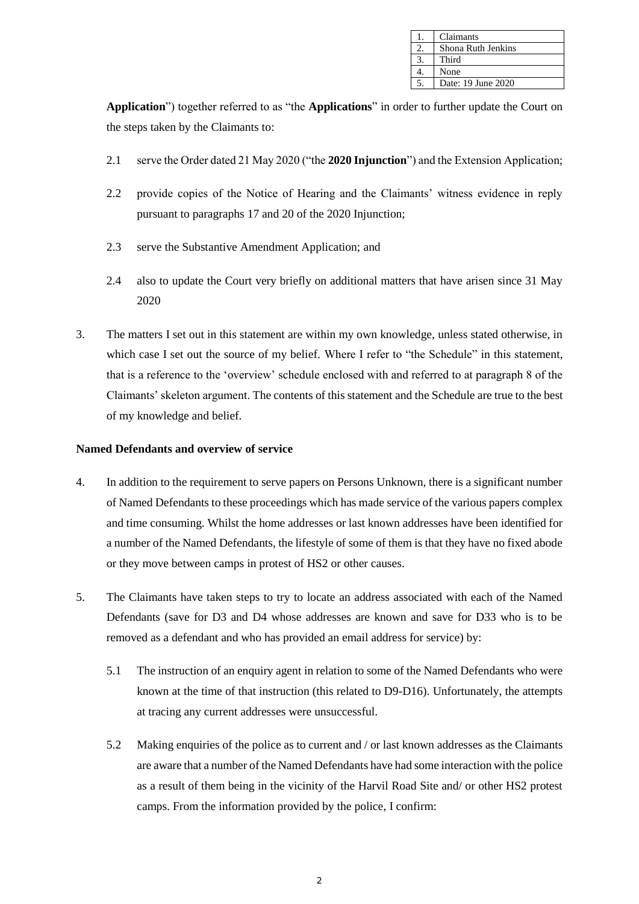| Claimants          |
|--------------------|
| Shona Ruth Jenkins |
| Third              |
| None               |
| Date: 19 June 2020 |

**Application**") together referred to as "the **Applications**" in order to further update the Court on the steps taken by the Claimants to:

- 2.1 serve the Order dated 21 May 2020 ("the **2020 Injunction**") and the Extension Application;
- 2.2 provide copies of the Notice of Hearing and the Claimants' witness evidence in reply pursuant to paragraphs 17 and 20 of the 2020 Injunction;
- 2.3 serve the Substantive Amendment Application; and
- 2.4 also to update the Court very briefly on additional matters that have arisen since 31 May 2020
- 3. The matters I set out in this statement are within my own knowledge, unless stated otherwise, in which case I set out the source of my belief. Where I refer to "the Schedule" in this statement, that is a reference to the 'overview' schedule enclosed with and referred to at paragraph 8 of the Claimants' skeleton argument. The contents of this statement and the Schedule are true to the best of my knowledge and belief.

#### **Named Defendants and overview of service**

- 4. In addition to the requirement to serve papers on Persons Unknown, there is a significant number of Named Defendants to these proceedings which has made service of the various papers complex and time consuming. Whilst the home addresses or last known addresses have been identified for a number of the Named Defendants, the lifestyle of some of them is that they have no fixed abode or they move between camps in protest of HS2 or other causes.
- 5. The Claimants have taken steps to try to locate an address associated with each of the Named Defendants (save for D3 and D4 whose addresses are known and save for D33 who is to be removed as a defendant and who has provided an email address for service) by:
	- 5.1 The instruction of an enquiry agent in relation to some of the Named Defendants who were known at the time of that instruction (this related to D9-D16). Unfortunately, the attempts at tracing any current addresses were unsuccessful.
	- 5.2 Making enquiries of the police as to current and / or last known addresses as the Claimants are aware that a number of the Named Defendants have had some interaction with the police as a result of them being in the vicinity of the Harvil Road Site and/ or other HS2 protest camps. From the information provided by the police, I confirm: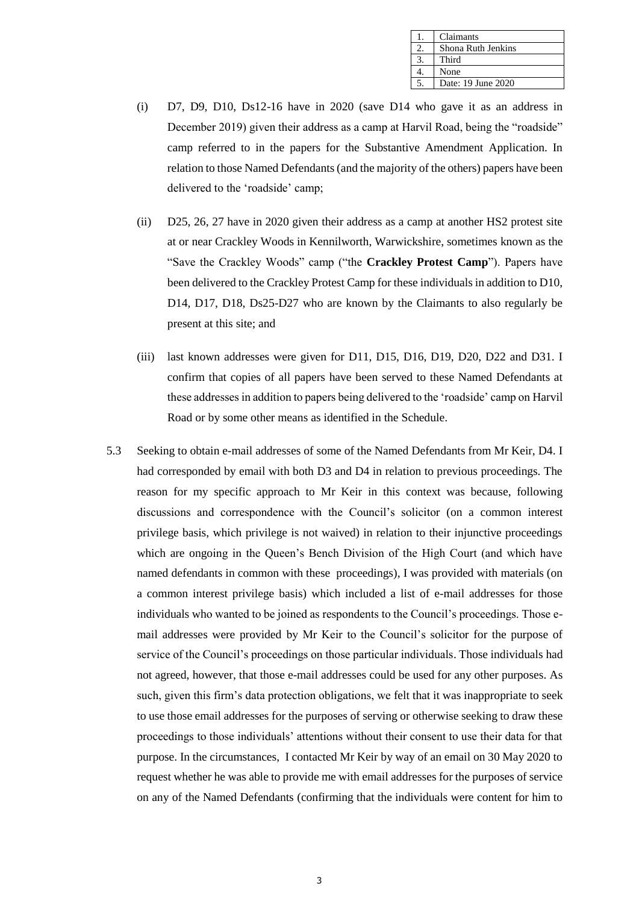| Claimants          |
|--------------------|
| Shona Ruth Jenkins |
| Third              |
| None               |
| Date: 19 June 2020 |

- (i) D7, D9, D10, Ds12-16 have in 2020 (save D14 who gave it as an address in December 2019) given their address as a camp at Harvil Road, being the "roadside" camp referred to in the papers for the Substantive Amendment Application. In relation to those Named Defendants (and the majority of the others) papers have been delivered to the 'roadside' camp;
- (ii) D25, 26, 27 have in 2020 given their address as a camp at another HS2 protest site at or near Crackley Woods in Kennilworth, Warwickshire, sometimes known as the "Save the Crackley Woods" camp ("the **Crackley Protest Camp**"). Papers have been delivered to the Crackley Protest Camp for these individuals in addition to D10, D14, D17, D18, Ds25-D27 who are known by the Claimants to also regularly be present at this site; and
- (iii) last known addresses were given for D11, D15, D16, D19, D20, D22 and D31. I confirm that copies of all papers have been served to these Named Defendants at these addresses in addition to papers being delivered to the 'roadside' camp on Harvil Road or by some other means as identified in the Schedule.
- 5.3 Seeking to obtain e-mail addresses of some of the Named Defendants from Mr Keir, D4. I had corresponded by email with both D3 and D4 in relation to previous proceedings. The reason for my specific approach to Mr Keir in this context was because, following discussions and correspondence with the Council's solicitor (on a common interest privilege basis, which privilege is not waived) in relation to their injunctive proceedings which are ongoing in the Queen's Bench Division of the High Court (and which have named defendants in common with these proceedings), I was provided with materials (on a common interest privilege basis) which included a list of e-mail addresses for those individuals who wanted to be joined as respondents to the Council's proceedings. Those email addresses were provided by Mr Keir to the Council's solicitor for the purpose of service of the Council's proceedings on those particular individuals. Those individuals had not agreed, however, that those e-mail addresses could be used for any other purposes. As such, given this firm's data protection obligations, we felt that it was inappropriate to seek to use those email addresses for the purposes of serving or otherwise seeking to draw these proceedings to those individuals' attentions without their consent to use their data for that purpose. In the circumstances, I contacted Mr Keir by way of an email on 30 May 2020 to request whether he was able to provide me with email addresses for the purposes of service on any of the Named Defendants (confirming that the individuals were content for him to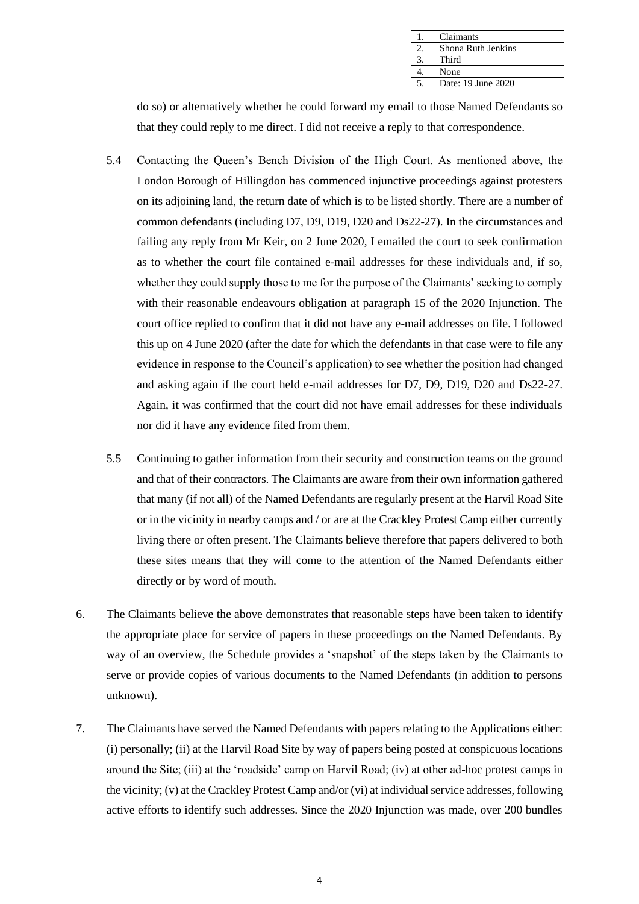| Claimants          |
|--------------------|
| Shona Ruth Jenkins |
| Third              |
| None               |
| Date: 19 June 2020 |

do so) or alternatively whether he could forward my email to those Named Defendants so that they could reply to me direct. I did not receive a reply to that correspondence.

- 5.4 Contacting the Queen's Bench Division of the High Court. As mentioned above, the London Borough of Hillingdon has commenced injunctive proceedings against protesters on its adjoining land, the return date of which is to be listed shortly. There are a number of common defendants (including D7, D9, D19, D20 and Ds22-27). In the circumstances and failing any reply from Mr Keir, on 2 June 2020, I emailed the court to seek confirmation as to whether the court file contained e-mail addresses for these individuals and, if so, whether they could supply those to me for the purpose of the Claimants' seeking to comply with their reasonable endeavours obligation at paragraph 15 of the 2020 Injunction. The court office replied to confirm that it did not have any e-mail addresses on file. I followed this up on 4 June 2020 (after the date for which the defendants in that case were to file any evidence in response to the Council's application) to see whether the position had changed and asking again if the court held e-mail addresses for D7, D9, D19, D20 and Ds22-27. Again, it was confirmed that the court did not have email addresses for these individuals nor did it have any evidence filed from them.
- 5.5 Continuing to gather information from their security and construction teams on the ground and that of their contractors. The Claimants are aware from their own information gathered that many (if not all) of the Named Defendants are regularly present at the Harvil Road Site or in the vicinity in nearby camps and / or are at the Crackley Protest Camp either currently living there or often present. The Claimants believe therefore that papers delivered to both these sites means that they will come to the attention of the Named Defendants either directly or by word of mouth.
- 6. The Claimants believe the above demonstrates that reasonable steps have been taken to identify the appropriate place for service of papers in these proceedings on the Named Defendants. By way of an overview, the Schedule provides a 'snapshot' of the steps taken by the Claimants to serve or provide copies of various documents to the Named Defendants (in addition to persons unknown).
- 7. The Claimants have served the Named Defendants with papers relating to the Applications either: (i) personally; (ii) at the Harvil Road Site by way of papers being posted at conspicuous locations around the Site; (iii) at the 'roadside' camp on Harvil Road; (iv) at other ad-hoc protest camps in the vicinity; (v) at the Crackley Protest Camp and/or (vi) at individual service addresses, following active efforts to identify such addresses. Since the 2020 Injunction was made, over 200 bundles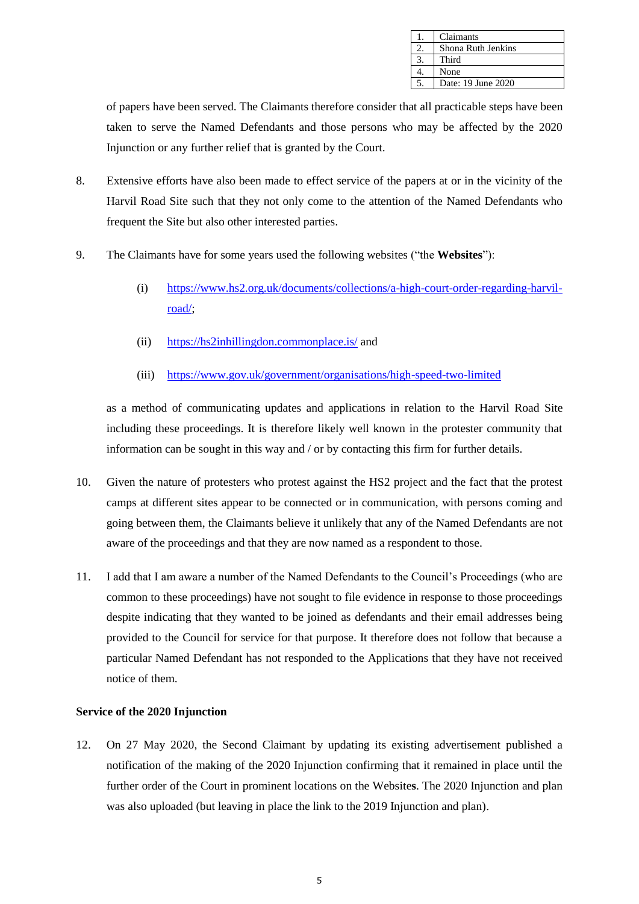| Claimants          |
|--------------------|
| Shona Ruth Jenkins |
| Third              |
| None               |
| Date: 19 June 2020 |

of papers have been served. The Claimants therefore consider that all practicable steps have been taken to serve the Named Defendants and those persons who may be affected by the 2020 Injunction or any further relief that is granted by the Court.

- 8. Extensive efforts have also been made to effect service of the papers at or in the vicinity of the Harvil Road Site such that they not only come to the attention of the Named Defendants who frequent the Site but also other interested parties.
- 9. The Claimants have for some years used the following websites ("the **Websites**"):
	- (i) [https://www.hs2.org.uk/documents/collections/a-high-court-order-regarding-harvil](https://www.hs2.org.uk/documents/collections/a-high-court-order-regarding-harvil-road/)[road/;](https://www.hs2.org.uk/documents/collections/a-high-court-order-regarding-harvil-road/)
	- (ii) <https://hs2inhillingdon.commonplace.is/> and
	- (iii) <https://www.gov.uk/government/organisations/high-speed-two-limited>

as a method of communicating updates and applications in relation to the Harvil Road Site including these proceedings. It is therefore likely well known in the protester community that information can be sought in this way and / or by contacting this firm for further details.

- 10. Given the nature of protesters who protest against the HS2 project and the fact that the protest camps at different sites appear to be connected or in communication, with persons coming and going between them, the Claimants believe it unlikely that any of the Named Defendants are not aware of the proceedings and that they are now named as a respondent to those.
- 11. I add that I am aware a number of the Named Defendants to the Council's Proceedings (who are common to these proceedings) have not sought to file evidence in response to those proceedings despite indicating that they wanted to be joined as defendants and their email addresses being provided to the Council for service for that purpose. It therefore does not follow that because a particular Named Defendant has not responded to the Applications that they have not received notice of them.

## **Service of the 2020 Injunction**

12. On 27 May 2020, the Second Claimant by updating its existing advertisement published a notification of the making of the 2020 Injunction confirming that it remained in place until the further order of the Court in prominent locations on the Website**s**. The 2020 Injunction and plan was also uploaded (but leaving in place the link to the 2019 Injunction and plan).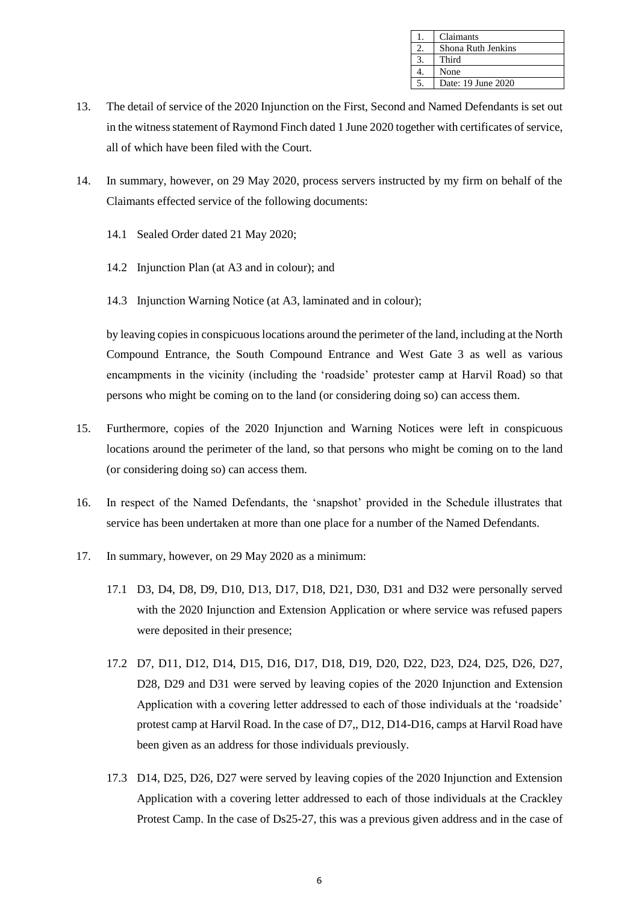| Claimants          |
|--------------------|
| Shona Ruth Jenkins |
| Third              |
| None               |
| Date: 19 June 2020 |

- 13. The detail of service of the 2020 Injunction on the First, Second and Named Defendants is set out in the witness statement of Raymond Finch dated 1 June 2020 together with certificates of service, all of which have been filed with the Court.
- 14. In summary, however, on 29 May 2020, process servers instructed by my firm on behalf of the Claimants effected service of the following documents:
	- 14.1 Sealed Order dated 21 May 2020;
	- 14.2 Injunction Plan (at A3 and in colour); and
	- 14.3 Injunction Warning Notice (at A3, laminated and in colour);

by leaving copies in conspicuous locations around the perimeter of the land, including at the North Compound Entrance, the South Compound Entrance and West Gate 3 as well as various encampments in the vicinity (including the 'roadside' protester camp at Harvil Road) so that persons who might be coming on to the land (or considering doing so) can access them.

- 15. Furthermore, copies of the 2020 Injunction and Warning Notices were left in conspicuous locations around the perimeter of the land, so that persons who might be coming on to the land (or considering doing so) can access them.
- 16. In respect of the Named Defendants, the 'snapshot' provided in the Schedule illustrates that service has been undertaken at more than one place for a number of the Named Defendants.
- 17. In summary, however, on 29 May 2020 as a minimum:
	- 17.1 D3, D4, D8, D9, D10, D13, D17, D18, D21, D30, D31 and D32 were personally served with the 2020 Injunction and Extension Application or where service was refused papers were deposited in their presence;
	- 17.2 D7, D11, D12, D14, D15, D16, D17, D18, D19, D20, D22, D23, D24, D25, D26, D27, D28, D29 and D31 were served by leaving copies of the 2020 Injunction and Extension Application with a covering letter addressed to each of those individuals at the 'roadside' protest camp at Harvil Road. In the case of D7,, D12, D14-D16, camps at Harvil Road have been given as an address for those individuals previously.
	- 17.3 D14, D25, D26, D27 were served by leaving copies of the 2020 Injunction and Extension Application with a covering letter addressed to each of those individuals at the Crackley Protest Camp. In the case of Ds25-27, this was a previous given address and in the case of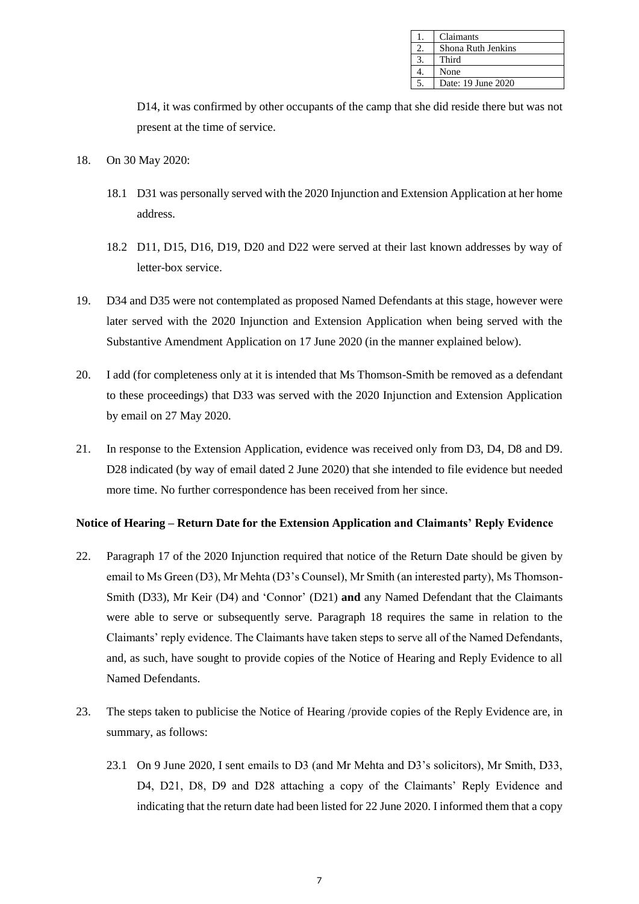| Claimants          |
|--------------------|
| Shona Ruth Jenkins |
| Third              |
| None               |
| Date: 19 June 2020 |

D14, it was confirmed by other occupants of the camp that she did reside there but was not present at the time of service.

- 18. On 30 May 2020:
	- 18.1 D31 was personally served with the 2020 Injunction and Extension Application at her home address.
	- 18.2 D11, D15, D16, D19, D20 and D22 were served at their last known addresses by way of letter-box service.
- 19. D34 and D35 were not contemplated as proposed Named Defendants at this stage, however were later served with the 2020 Injunction and Extension Application when being served with the Substantive Amendment Application on 17 June 2020 (in the manner explained below).
- 20. I add (for completeness only at it is intended that Ms Thomson-Smith be removed as a defendant to these proceedings) that D33 was served with the 2020 Injunction and Extension Application by email on 27 May 2020.
- 21. In response to the Extension Application, evidence was received only from D3, D4, D8 and D9. D28 indicated (by way of email dated 2 June 2020) that she intended to file evidence but needed more time. No further correspondence has been received from her since.

#### **Notice of Hearing – Return Date for the Extension Application and Claimants' Reply Evidence**

- 22. Paragraph 17 of the 2020 Injunction required that notice of the Return Date should be given by email to Ms Green (D3), Mr Mehta (D3's Counsel), Mr Smith (an interested party), Ms Thomson-Smith (D33), Mr Keir (D4) and 'Connor' (D21) **and** any Named Defendant that the Claimants were able to serve or subsequently serve. Paragraph 18 requires the same in relation to the Claimants' reply evidence. The Claimants have taken steps to serve all of the Named Defendants, and, as such, have sought to provide copies of the Notice of Hearing and Reply Evidence to all Named Defendants.
- 23. The steps taken to publicise the Notice of Hearing /provide copies of the Reply Evidence are, in summary, as follows:
	- 23.1 On 9 June 2020, I sent emails to D3 (and Mr Mehta and D3's solicitors), Mr Smith, D33, D4, D21, D8, D9 and D28 attaching a copy of the Claimants' Reply Evidence and indicating that the return date had been listed for 22 June 2020. I informed them that a copy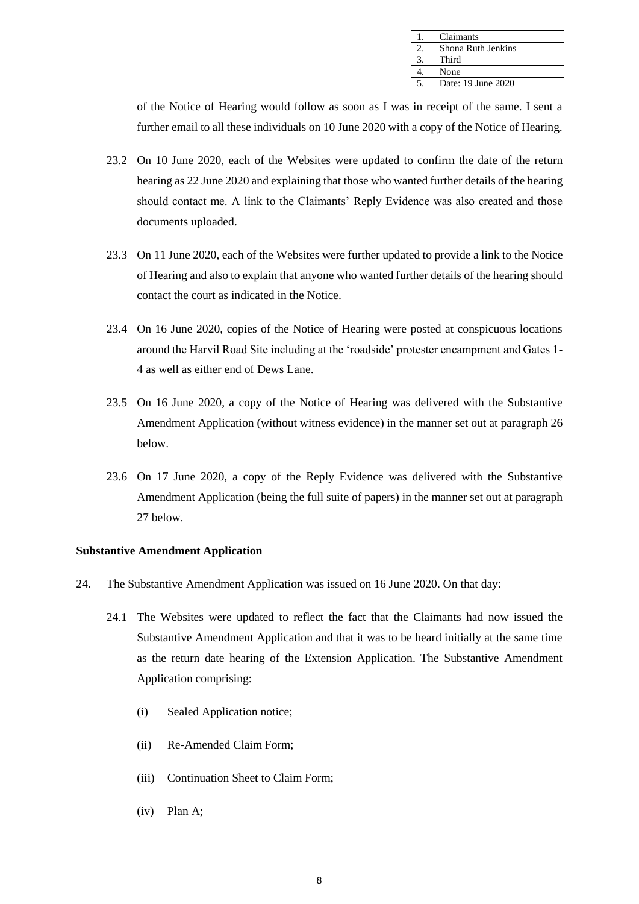| Claimants          |
|--------------------|
| Shona Ruth Jenkins |
| Third              |
| None               |
| Date: 19 June 2020 |

of the Notice of Hearing would follow as soon as I was in receipt of the same. I sent a further email to all these individuals on 10 June 2020 with a copy of the Notice of Hearing.

- 23.2 On 10 June 2020, each of the Websites were updated to confirm the date of the return hearing as 22 June 2020 and explaining that those who wanted further details of the hearing should contact me. A link to the Claimants' Reply Evidence was also created and those documents uploaded.
- 23.3 On 11 June 2020, each of the Websites were further updated to provide a link to the Notice of Hearing and also to explain that anyone who wanted further details of the hearing should contact the court as indicated in the Notice.
- 23.4 On 16 June 2020, copies of the Notice of Hearing were posted at conspicuous locations around the Harvil Road Site including at the 'roadside' protester encampment and Gates 1- 4 as well as either end of Dews Lane.
- 23.5 On 16 June 2020, a copy of the Notice of Hearing was delivered with the Substantive Amendment Application (without witness evidence) in the manner set out at paragraph 26 below.
- 23.6 On 17 June 2020, a copy of the Reply Evidence was delivered with the Substantive Amendment Application (being the full suite of papers) in the manner set out at paragraph 27 below.

#### **Substantive Amendment Application**

- 24. The Substantive Amendment Application was issued on 16 June 2020. On that day:
	- 24.1 The Websites were updated to reflect the fact that the Claimants had now issued the Substantive Amendment Application and that it was to be heard initially at the same time as the return date hearing of the Extension Application. The Substantive Amendment Application comprising:
		- (i) Sealed Application notice;
		- (ii) Re-Amended Claim Form;
		- (iii) Continuation Sheet to Claim Form;
		- (iv) Plan A;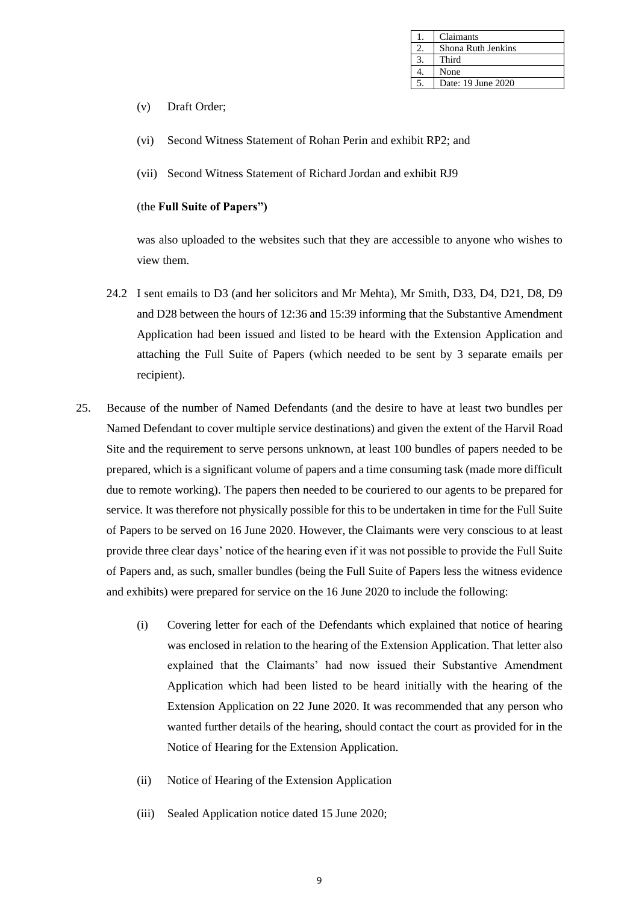| Claimants          |
|--------------------|
| Shona Ruth Jenkins |
| Third              |
| None               |
| Date: 19 June 2020 |

- (v) Draft Order;
- (vi) Second Witness Statement of Rohan Perin and exhibit RP2; and
- (vii) Second Witness Statement of Richard Jordan and exhibit RJ9

## (the **Full Suite of Papers")**

was also uploaded to the websites such that they are accessible to anyone who wishes to view them.

- 24.2 I sent emails to D3 (and her solicitors and Mr Mehta), Mr Smith, D33, D4, D21, D8, D9 and D28 between the hours of 12:36 and 15:39 informing that the Substantive Amendment Application had been issued and listed to be heard with the Extension Application and attaching the Full Suite of Papers (which needed to be sent by 3 separate emails per recipient).
- 25. Because of the number of Named Defendants (and the desire to have at least two bundles per Named Defendant to cover multiple service destinations) and given the extent of the Harvil Road Site and the requirement to serve persons unknown, at least 100 bundles of papers needed to be prepared, which is a significant volume of papers and a time consuming task (made more difficult due to remote working). The papers then needed to be couriered to our agents to be prepared for service. It was therefore not physically possible for this to be undertaken in time for the Full Suite of Papers to be served on 16 June 2020. However, the Claimants were very conscious to at least provide three clear days' notice of the hearing even if it was not possible to provide the Full Suite of Papers and, as such, smaller bundles (being the Full Suite of Papers less the witness evidence and exhibits) were prepared for service on the 16 June 2020 to include the following:
	- (i) Covering letter for each of the Defendants which explained that notice of hearing was enclosed in relation to the hearing of the Extension Application. That letter also explained that the Claimants' had now issued their Substantive Amendment Application which had been listed to be heard initially with the hearing of the Extension Application on 22 June 2020. It was recommended that any person who wanted further details of the hearing, should contact the court as provided for in the Notice of Hearing for the Extension Application.
	- (ii) Notice of Hearing of the Extension Application
	- (iii) Sealed Application notice dated 15 June 2020;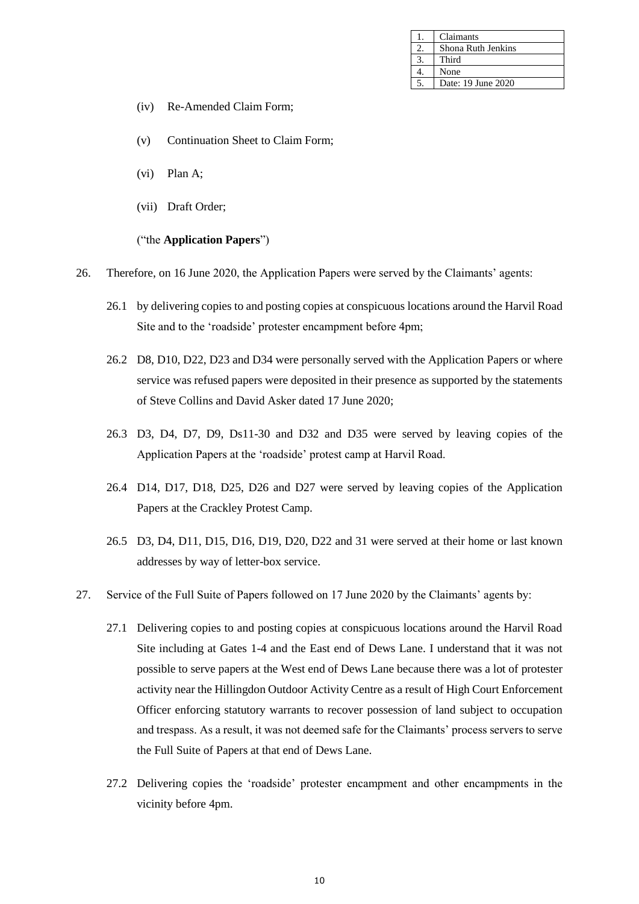| Claimants          |
|--------------------|
| Shona Ruth Jenkins |
| Third              |
| None               |
| Date: 19 June 2020 |

- (iv) Re-Amended Claim Form;
- (v) Continuation Sheet to Claim Form;
- (vi) Plan A;
- (vii) Draft Order;

#### ("the **Application Papers**")

- 26. Therefore, on 16 June 2020, the Application Papers were served by the Claimants' agents:
	- 26.1 by delivering copies to and posting copies at conspicuous locations around the Harvil Road Site and to the 'roadside' protester encampment before 4pm;
	- 26.2 D8, D10, D22, D23 and D34 were personally served with the Application Papers or where service was refused papers were deposited in their presence as supported by the statements of Steve Collins and David Asker dated 17 June 2020;
	- 26.3 D3, D4, D7, D9, Ds11-30 and D32 and D35 were served by leaving copies of the Application Papers at the 'roadside' protest camp at Harvil Road.
	- 26.4 D14, D17, D18, D25, D26 and D27 were served by leaving copies of the Application Papers at the Crackley Protest Camp.
	- 26.5 D3, D4, D11, D15, D16, D19, D20, D22 and 31 were served at their home or last known addresses by way of letter-box service.
- 27. Service of the Full Suite of Papers followed on 17 June 2020 by the Claimants' agents by:
	- 27.1 Delivering copies to and posting copies at conspicuous locations around the Harvil Road Site including at Gates 1-4 and the East end of Dews Lane. I understand that it was not possible to serve papers at the West end of Dews Lane because there was a lot of protester activity near the Hillingdon Outdoor Activity Centre as a result of High Court Enforcement Officer enforcing statutory warrants to recover possession of land subject to occupation and trespass. As a result, it was not deemed safe for the Claimants' process servers to serve the Full Suite of Papers at that end of Dews Lane.
	- 27.2 Delivering copies the 'roadside' protester encampment and other encampments in the vicinity before 4pm.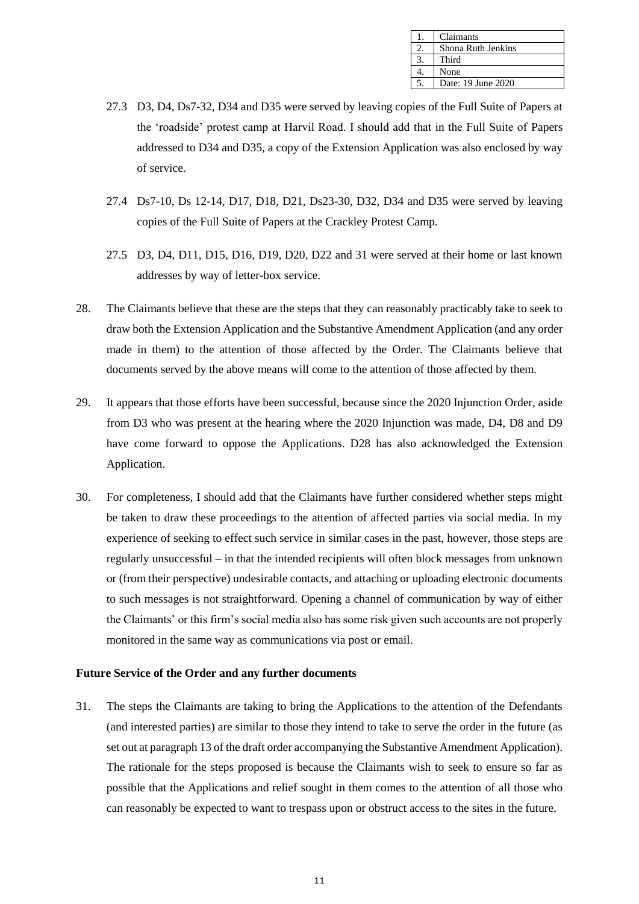| Claimants          |
|--------------------|
| Shona Ruth Jenkins |
| Third              |
| None               |
| Date: 19 June 2020 |

- 27.3 D3, D4, Ds7-32, D34 and D35 were served by leaving copies of the Full Suite of Papers at the 'roadside' protest camp at Harvil Road. I should add that in the Full Suite of Papers addressed to D34 and D35, a copy of the Extension Application was also enclosed by way of service.
- 27.4 Ds7-10, Ds 12-14, D17, D18, D21, Ds23-30, D32, D34 and D35 were served by leaving copies of the Full Suite of Papers at the Crackley Protest Camp.
- 27.5 D3, D4, D11, D15, D16, D19, D20, D22 and 31 were served at their home or last known addresses by way of letter-box service.
- 28. The Claimants believe that these are the steps that they can reasonably practicably take to seek to draw both the Extension Application and the Substantive Amendment Application (and any order made in them) to the attention of those affected by the Order. The Claimants believe that documents served by the above means will come to the attention of those affected by them.
- 29. It appears that those efforts have been successful, because since the 2020 Injunction Order, aside from D3 who was present at the hearing where the 2020 Injunction was made, D4, D8 and D9 have come forward to oppose the Applications. D28 has also acknowledged the Extension Application.
- 30. For completeness, I should add that the Claimants have further considered whether steps might be taken to draw these proceedings to the attention of affected parties via social media. In my experience of seeking to effect such service in similar cases in the past, however, those steps are regularly unsuccessful – in that the intended recipients will often block messages from unknown or (from their perspective) undesirable contacts, and attaching or uploading electronic documents to such messages is not straightforward. Opening a channel of communication by way of either the Claimants' or this firm's social media also has some risk given such accounts are not properly monitored in the same way as communications via post or email.

#### **Future Service of the Order and any further documents**

31. The steps the Claimants are taking to bring the Applications to the attention of the Defendants (and interested parties) are similar to those they intend to take to serve the order in the future (as set out at paragraph 13 of the draft order accompanying the Substantive Amendment Application). The rationale for the steps proposed is because the Claimants wish to seek to ensure so far as possible that the Applications and relief sought in them comes to the attention of all those who can reasonably be expected to want to trespass upon or obstruct access to the sites in the future.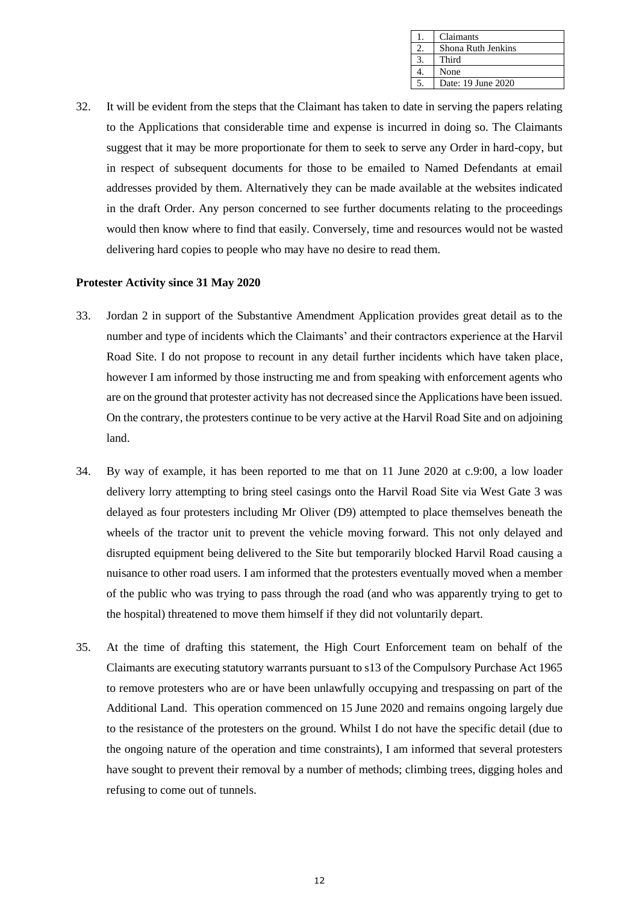| Claimants          |
|--------------------|
| Shona Ruth Jenkins |
| Third              |
| None               |
| Date: 19 June 2020 |

32. It will be evident from the steps that the Claimant has taken to date in serving the papers relating to the Applications that considerable time and expense is incurred in doing so. The Claimants suggest that it may be more proportionate for them to seek to serve any Order in hard-copy, but in respect of subsequent documents for those to be emailed to Named Defendants at email addresses provided by them. Alternatively they can be made available at the websites indicated in the draft Order. Any person concerned to see further documents relating to the proceedings would then know where to find that easily. Conversely, time and resources would not be wasted delivering hard copies to people who may have no desire to read them.

#### **Protester Activity since 31 May 2020**

- 33. Jordan 2 in support of the Substantive Amendment Application provides great detail as to the number and type of incidents which the Claimants' and their contractors experience at the Harvil Road Site. I do not propose to recount in any detail further incidents which have taken place, however I am informed by those instructing me and from speaking with enforcement agents who are on the ground that protester activity has not decreased since the Applications have been issued. On the contrary, the protesters continue to be very active at the Harvil Road Site and on adjoining land.
- 34. By way of example, it has been reported to me that on 11 June 2020 at c.9:00, a low loader delivery lorry attempting to bring steel casings onto the Harvil Road Site via West Gate 3 was delayed as four protesters including Mr Oliver (D9) attempted to place themselves beneath the wheels of the tractor unit to prevent the vehicle moving forward. This not only delayed and disrupted equipment being delivered to the Site but temporarily blocked Harvil Road causing a nuisance to other road users. I am informed that the protesters eventually moved when a member of the public who was trying to pass through the road (and who was apparently trying to get to the hospital) threatened to move them himself if they did not voluntarily depart.
- 35. At the time of drafting this statement, the High Court Enforcement team on behalf of the Claimants are executing statutory warrants pursuant to s13 of the Compulsory Purchase Act 1965 to remove protesters who are or have been unlawfully occupying and trespassing on part of the Additional Land. This operation commenced on 15 June 2020 and remains ongoing largely due to the resistance of the protesters on the ground. Whilst I do not have the specific detail (due to the ongoing nature of the operation and time constraints), I am informed that several protesters have sought to prevent their removal by a number of methods; climbing trees, digging holes and refusing to come out of tunnels.